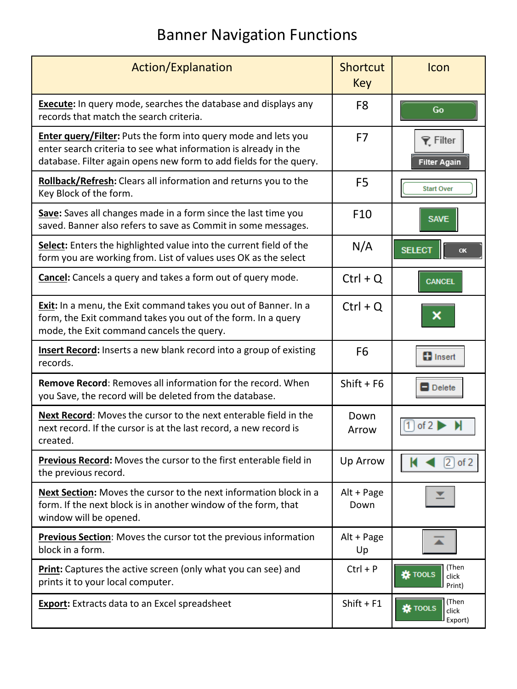## Banner Navigation Functions

| <b>Action/Explanation</b>                                                                                                                                                                                      | <b>Shortcut</b><br>Key | Icon                                        |
|----------------------------------------------------------------------------------------------------------------------------------------------------------------------------------------------------------------|------------------------|---------------------------------------------|
| <b>Execute:</b> In query mode, searches the database and displays any<br>records that match the search criteria.                                                                                               | F <sub>8</sub>         | Go                                          |
| <b>Enter query/Filter:</b> Puts the form into query mode and lets you<br>enter search criteria to see what information is already in the<br>database. Filter again opens new form to add fields for the query. | F7                     | <b>▼</b> Filter<br><b>Filter Again</b>      |
| Rollback/Refresh: Clears all information and returns you to the<br>Key Block of the form.                                                                                                                      | F <sub>5</sub>         | <b>Start Over</b>                           |
| Save: Saves all changes made in a form since the last time you<br>saved. Banner also refers to save as Commit in some messages.                                                                                | F <sub>10</sub>        | <b>SAVE</b>                                 |
| Select: Enters the highlighted value into the current field of the<br>form you are working from. List of values uses OK as the select                                                                          | N/A                    | <b>SELECT</b><br>OK                         |
| <b>Cancel:</b> Cancels a query and takes a form out of query mode.                                                                                                                                             | $Ctrl + Q$             | <b>CANCEL</b>                               |
| <b>Exit:</b> In a menu, the Exit command takes you out of Banner. In a<br>form, the Exit command takes you out of the form. In a query<br>mode, the Exit command cancels the query.                            | $Ctrl + Q$             |                                             |
| Insert Record: Inserts a new blank record into a group of existing<br>records.                                                                                                                                 | F <sub>6</sub>         | <b>B</b> Insert                             |
| <b>Remove Record:</b> Removes all information for the record. When<br>you Save, the record will be deleted from the database.                                                                                  | Shift + $F6$           | Delete                                      |
| Next Record: Moves the cursor to the next enterable field in the<br>next record. If the cursor is at the last record, a new record is<br>created.                                                              | Down<br>Arrow          | of 2                                        |
| Previous Record: Moves the cursor to the first enterable field in<br>the previous record.                                                                                                                      | Up Arrow               | $2$ of 2                                    |
| Next Section: Moves the cursor to the next information block in a<br>form. If the next block is in another window of the form, that<br>window will be opened.                                                  | Alt + Page<br>Down     |                                             |
| <b>Previous Section:</b> Moves the cursor tot the previous information<br>block in a form.                                                                                                                     | Alt + Page<br>Up       |                                             |
| <b>Print:</b> Captures the active screen (only what you can see) and<br>prints it to your local computer.                                                                                                      | $Ctrl + P$             | (Then<br><b>娄 TOOLS</b><br>click<br>Print)  |
| <b>Export:</b> Extracts data to an Excel spreadsheet                                                                                                                                                           | $Shift + F1$           | (Then<br><b>*</b> TOOLS<br>click<br>Export) |